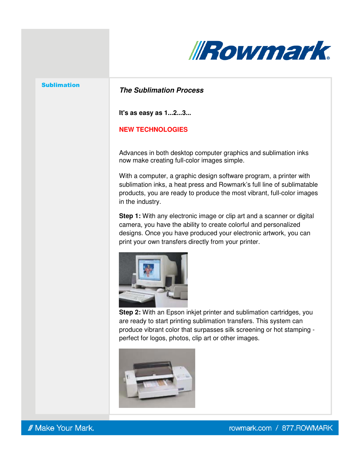

#### Sublimation

# **The Sublimation Process**

**It's as easy as 1...2...3...**

## **NEW TECHNOLOGIES**

Advances in both desktop computer graphics and sublimation inks now make creating full-color images simple.

With a computer, a graphic design software program, a printer with sublimation inks, a heat press and Rowmark's full line of sublimatable products, you are ready to produce the most vibrant, full-color images in the industry.

**Step 1:** With any electronic image or clip art and a scanner or digital camera, you have the ability to create colorful and personalized designs. Once you have produced your electronic artwork, you can print your own transfers directly from your printer.



**Step 2:** With an Epson inkjet printer and sublimation cartridges, you are ready to start printing sublimation transfers. This system can produce vibrant color that surpasses silk screening or hot stamping perfect for logos, photos, clip art or other images.